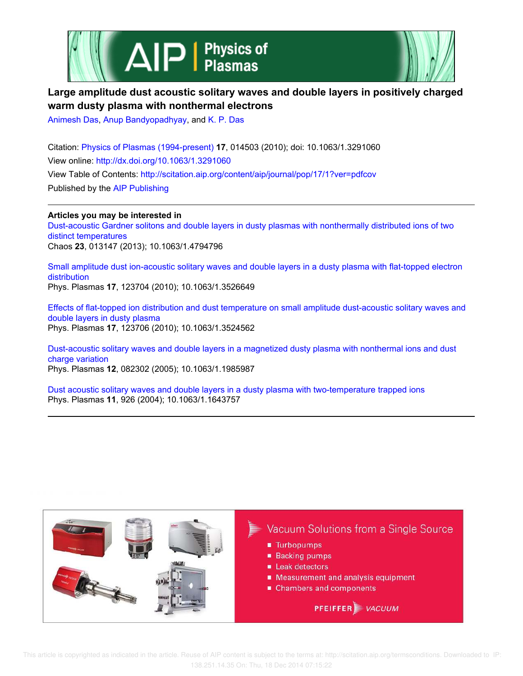



## **Large amplitude dust acoustic solitary waves and double layers in positively charged warm dusty plasma with nonthermal electrons**

Animesh Das, Anup Bandyopadhyay, and K. P. Das

Citation: Physics of Plasmas (1994-present) **17**, 014503 (2010); doi: 10.1063/1.3291060 View online: http://dx.doi.org/10.1063/1.3291060 View Table of Contents: http://scitation.aip.org/content/aip/journal/pop/17/1?ver=pdfcov Published by the AIP Publishing

**Articles you may be interested in** Dust-acoustic Gardner solitons and double layers in dusty plasmas with nonthermally distributed ions of two distinct temperatures Chaos **23**, 013147 (2013); 10.1063/1.4794796

Small amplitude dust ion-acoustic solitary waves and double layers in a dusty plasma with flat-topped electron distribution Phys. Plasmas **17**, 123704 (2010); 10.1063/1.3526649

Effects of flat-topped ion distribution and dust temperature on small amplitude dust-acoustic solitary waves and double layers in dusty plasma Phys. Plasmas **17**, 123706 (2010); 10.1063/1.3524562

Dust-acoustic solitary waves and double layers in a magnetized dusty plasma with nonthermal ions and dust charge variation Phys. Plasmas **12**, 082302 (2005); 10.1063/1.1985987

Dust acoustic solitary waves and double layers in a dusty plasma with two-temperature trapped ions Phys. Plasmas **11**, 926 (2004); 10.1063/1.1643757



 This article is copyrighted as indicated in the article. Reuse of AIP content is subject to the terms at: http://scitation.aip.org/termsconditions. Downloaded to IP: 138.251.14.35 On: Thu, 18 Dec 2014 07:15:22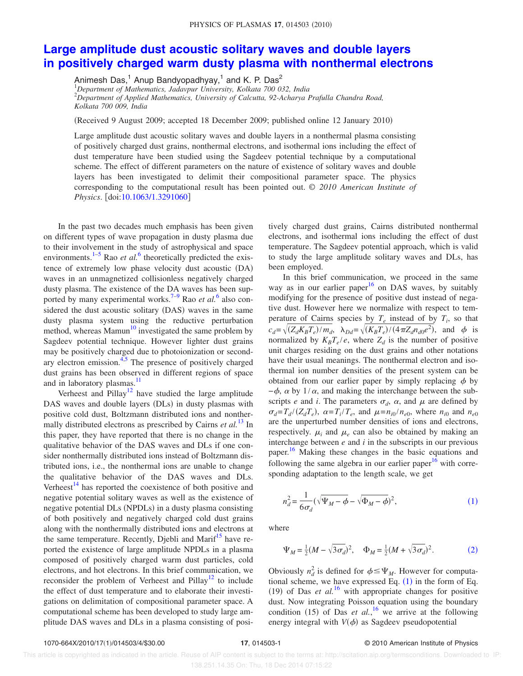## **Large amplitude dust acoustic solitary waves and double layers in positively charged warm dusty plasma with nonthermal electrons**

Animesh Das,<sup>1</sup> Anup Bandyopadhyay,<sup>1</sup> and K. P. Das<sup>2</sup> <sup>1</sup>*Department of Mathematics, Jadavpur University, Kolkata 700 032, India* <sup>2</sup>*Department of Applied Mathematics, University of Calcutta, 92-Acharya Prafulla Chandra Road, Kolkata 700 009, India*

(Received 9 August 2009; accepted 18 December 2009; published online 12 January 2010)

Large amplitude dust acoustic solitary waves and double layers in a nonthermal plasma consisting of positively charged dust grains, nonthermal electrons, and isothermal ions including the effect of dust temperature have been studied using the Sagdeev potential technique by a computational scheme. The effect of different parameters on the nature of existence of solitary waves and double layers has been investigated to delimit their compositional parameter space. The physics corresponding to the computational result has been pointed out. © *2010 American Institute of Physics.* [doi:10.1063/1.3291060]

In the past two decades much emphasis has been given on different types of wave propagation in dusty plasma due to their involvement in the study of astrophysical and space environments.<sup>1-5</sup> Rao *et al.*<sup>6</sup> theoretically predicted the existence of extremely low phase velocity dust acoustic (DA) waves in an unmagnetized collisionless negatively charged dusty plasma. The existence of the DA waves has been supported by many experimental works.<sup>7-9</sup> Rao *et al.*<sup>6</sup> also considered the dust acoustic solitary (DAS) waves in the same dusty plasma system using the reductive perturbation method, whereas Mamun<sup>10</sup> investigated the same problem by Sagdeev potential technique. However lighter dust grains may be positively charged due to photoionization or secondary electron emission.<sup>4,5</sup> The presence of positively charged dust grains has been observed in different regions of space and in laboratory plasmas.<sup>11</sup>

Verheest and Pillay<sup>12</sup> have studied the large amplitude DAS waves and double layers (DLs) in dusty plasmas with positive cold dust, Boltzmann distributed ions and nonthermally distributed electrons as prescribed by Cairns *et al.*<sup>13</sup> In this paper, they have reported that there is no change in the qualitative behavior of the DAS waves and DLs if one consider nonthermally distributed ions instead of Boltzmann distributed ions, i.e., the nonthermal ions are unable to change the qualitative behavior of the DAS waves and DLs. Verheest $^{14}$  has reported the coexistence of both positive and negative potential solitary waves as well as the existence of negative potential DLs (NPDLs) in a dusty plasma consisting of both positively and negatively charged cold dust grains along with the nonthermally distributed ions and electrons at the same temperature. Recently, Djebli and Marif<sup>15</sup> have reported the existence of large amplitude NPDLs in a plasma composed of positively charged warm dust particles, cold electrons, and hot electrons. In this brief communication, we reconsider the problem of Verheest and Pillay<sup>12</sup> to include the effect of dust temperature and to elaborate their investigations on delimitation of compositional parameter space. A computational scheme has been developed to study large amplitude DAS waves and DLs in a plasma consisting of positively charged dust grains, Cairns distributed nonthermal electrons, and isothermal ions including the effect of dust temperature. The Sagdeev potential approach, which is valid to study the large amplitude solitary waves and DLs, has been employed.

In this brief communication, we proceed in the same way as in our earlier paper $16$  on DAS waves, by suitably modifying for the presence of positive dust instead of negative dust. However here we normalize with respect to temperature of Cairns species by  $T_e$  instead of by  $T_i$ , so that  $c_d = \sqrt{(Z_d K_B T_e)/m_d}$ ,  $\lambda_{Dd} = \sqrt{(K_B T_e)/(4 \pi Z_d n_{d0} e^2)}$ , and  $\phi$  is normalized by  $K_B T_e/e$ , where  $Z_d$  is the number of positive unit charges residing on the dust grains and other notations have their usual meanings. The nonthermal electron and isothermal ion number densities of the present system can be obtained from our earlier paper by simply replacing  $\phi$  by  $-\phi$ ,  $\alpha$  by 1/ $\alpha$ , and making the interchange between the subscripts *e* and *i*. The parameters  $\sigma_d$ ,  $\alpha$ , and  $\mu$  are defined by  $\sigma_d = T_d / (Z_d T_e)$ ,  $\alpha = T_i / T_e$ , and  $\mu = n_{i0} / n_{e0}$ , where  $n_{i0}$  and  $n_{e0}$ are the unperturbed number densities of ions and electrons, respectively.  $\mu_i$  and  $\mu_e$  can also be obtained by making an interchange between *e* and *i* in the subscripts in our previous paper.<sup>16</sup> Making these changes in the basic equations and following the same algebra in our earlier paper<sup>16</sup> with corresponding adaptation to the length scale, we get

$$
n_d^2 = \frac{1}{6\sigma_d} (\sqrt{\Psi_M - \phi} - \sqrt{\Phi_M - \phi})^2, \tag{1}
$$

where

$$
\Psi_M = \frac{1}{2}(M - \sqrt{3\sigma_d})^2, \quad \Phi_M = \frac{1}{2}(M + \sqrt{3\sigma_d})^2.
$$
 (2)

Obviously  $n_d^2$  is defined for  $\phi \leq \Psi_M$ . However for computational scheme, we have expressed Eq.  $(1)$  in the form of Eq. (19) of Das *et al.*<sup>16</sup> with appropriate changes for positive dust. Now integrating Poisson equation using the boundary condition (15) of Das *et al.*,<sup>16</sup> we arrive at the following energy integral with  $V(\phi)$  as Sagdeev pseudopotential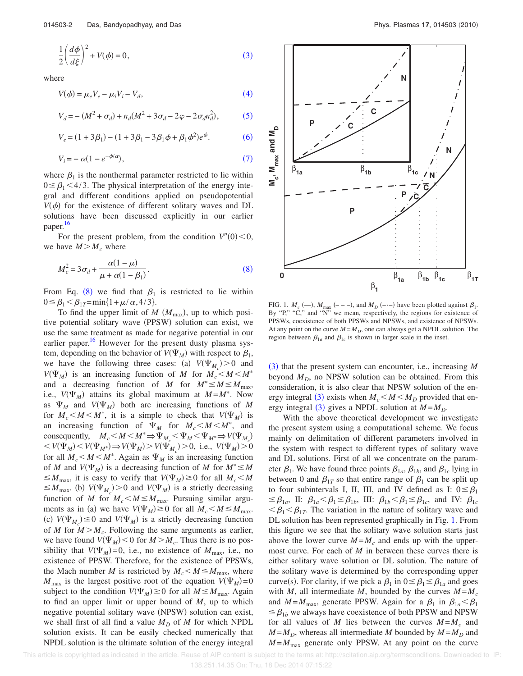$$
\frac{1}{2}\left(\frac{d\phi}{d\xi}\right)^2 + V(\phi) = 0,
$$
\n(3)

where

$$
V(\phi) = \mu_e V_e - \mu_i V_i - V_d,\tag{4}
$$

$$
V_d = - (M^2 + \sigma_d) + n_d(M^2 + 3\sigma_d - 2\varphi - 2\sigma_d n_d^2),
$$
 (5)

$$
V_e = (1 + 3\beta_1) - (1 + 3\beta_1 - 3\beta_1\phi + \beta_1\phi^2)e^{\phi}.
$$
 (6)

$$
V_i = -\alpha (1 - e^{-\phi/\alpha}),\tag{7}
$$

where  $\beta_1$  is the nonthermal parameter restricted to lie within  $0 \leq \beta_1 \leq 4/3$ . The physical interpretation of the energy integral and different conditions applied on pseudopotential  $V(\phi)$  for the existence of different solitary waves and DL solutions have been discussed explicitly in our earlier paper. 16

For the present problem, from the condition  $V''(0) < 0$ , we have  $M > M_c$  where

$$
M_c^2 = 3\sigma_d + \frac{\alpha(1-\mu)}{\mu + \alpha(1-\beta_1)}.
$$
\n(8)

From Eq. (8) we find that  $\beta_1$  is restricted to lie within  $0 \leq \beta_1 < \beta_{1T} = \min\{1 + \mu/\alpha, 4/3\}.$ 

To find the upper limit of  $M$   $(M_{\text{max}})$ , up to which positive potential solitary wave (PPSW) solution can exist, we use the same treatment as made for negative potential in our earlier paper.<sup>16</sup> However for the present dusty plasma system, depending on the behavior of  $V(\Psi_M)$  with respect to  $\beta_1$ , we have the following three cases: (a)  $V(\Psi_{M_c}) > 0$  and  $V(\Psi_M)$  is an increasing function of *M* for  $M_c < M < M^*$ and a decreasing function of *M* for  $M^* \le M \le M_{\text{max}}$ , i.e.,  $V(\Psi_M)$  attains its global maximum at  $M = M^*$ . Now as  $\Psi_M$  and  $V(\Psi_M)$  both are increasing functions of M for  $M_c < M < M^*$ , it is a simple to check that  $V(\Psi_M)$  is an increasing function of  $\Psi_M$  for  $M_c < M < M^*$ , and consequently,  $M_c < M < M^* \Rightarrow \Psi_{M_c} < \Psi_M < \Psi_{M^*} \Rightarrow V(\Psi_{M_c})$  $V(V_{M}) = V(V_{M^{*}}) \Rightarrow V(V_{M}) = V(V_{M_{c}}) > 0$ , i.e.,  $V(V_{M}) > 0$ for all  $M_c < M < M^*$ . Again as  $\Psi_M$  is an increasing function of *M* and  $V(\Psi_M)$  is a decreasing function of *M* for  $M^* \leq M$  $\leq M_{\text{max}}$ , it is easy to verify that  $V(\Psi_M) \geq 0$  for all  $M_c \leq M$  $\leq M_{\text{max}}$ . (b)  $V(\Psi_{M_c}) > 0$  and  $V(\Psi_M)$  is a strictly decreasing function of *M* for  $M_c < M \le M_{\text{max}}$ . Pursuing similar arguments as in (a) we have  $V(\Psi_M) \ge 0$  for all  $M_c < M \le M_{\text{max}}$ . (c)  $V(\Psi_{M_c}) \leq 0$  and  $V(\Psi_M)$  is a strictly decreasing function of *M* for  $M > M_c$ . Following the same arguments as earlier, we have found  $V(\Psi_M)$  < 0 for  $M > M_c$ . Thus there is no possibility that  $V(\Psi_M) = 0$ , i.e., no existence of  $M_{\text{max}}$ , i.e., no existence of PPSW. Therefore, for the existence of PPSWs, the Mach number *M* is restricted by  $M_c < M \le M_{\text{max}}$ , where  $M_{\text{max}}$  is the largest positive root of the equation  $V(\Psi_M) = 0$ subject to the condition  $V(\Psi_M) \ge 0$  for all  $M \le M_{\text{max}}$ . Again to find an upper limit or upper bound of *M*, up to which negative potential solitary wave (NPSW) solution can exist, we shall first of all find a value  $M_D$  of  $M$  for which NPDL solution exists. It can be easily checked numerically that NPDL solution is the ultimate solution of the energy integral



FIG. 1.  $M_c$  (--),  $M_{\text{max}}$  (---), and  $M_D$  (- $\cdot$ -) have been plotted against  $\beta_1$ . By "P," "C," and "N" we mean, respectively, the regions for existence of PPSWs, coexistence of both PPSWs and NPSWs, and existence of NPSWs. At any point on the curve  $M = M_D$ , one can always get a NPDL solution. The region between  $\beta_{1a}$  and  $\beta_{1c}$  is shown in larger scale in the inset.

(3) that the present system can encounter, i.e., increasing *M* beyond  $M_D$ , no NPSW solution can be obtained. From this consideration, it is also clear that NPSW solution of the energy integral (3) exists when  $M_c < M < M_D$  provided that energy integral (3) gives a NPDL solution at  $M = M_D$ .

With the above theoretical development we investigate the present system using a computational scheme. We focus mainly on delimitation of different parameters involved in the system with respect to different types of solitary wave and DL solutions. First of all we concentrate on the parameter  $\beta_1$ . We have found three points  $\beta_{1a}$ ,  $\beta_{1b}$ , and  $\beta_{1c}$  lying in between 0 and  $\beta_{1T}$  so that entire range of  $\beta_1$  can be split up to four subintervals I, II, III, and IV defined as I:  $0 \leq \beta_1$  $\leq \beta_{1a}$ , II:  $\beta_{1a} < \beta_1 \leq \beta_{1b}$ , III:  $\beta_{1b} < \beta_1 \leq \beta_{1c}$ , and IV:  $\beta_{1c}$  $\langle \beta_1 \langle \beta_{1T} \rangle$ . The variation in the nature of solitary wave and DL solution has been represented graphically in Fig. 1. From this figure we see that the solitary wave solution starts just above the lower curve  $M = M_c$  and ends up with the uppermost curve. For each of *M* in between these curves there is either solitary wave solution or DL solution. The nature of the solitary wave is determined by the corresponding upper curve(s). For clarity, if we pick a  $\beta_1$  in  $0 \le \beta_1 \le \beta_{1a}$  and goes with *M*, all intermediate *M*, bounded by the curves  $M = M_c$ and  $M = M_{\text{max}}$ , generate PPSW. Again for a  $\beta_1$  in  $\beta_{1a} < \beta_1$  $\leq \beta_{1b}$  we always have coexistence of both PPSW and NPSW for all values of *M* lies between the curves  $M = M_c$  and  $M = M_D$ , whereas all intermediate *M* bounded by  $M = M_D$  and  $M = M_{\text{max}}$  generate only PPSW. At any point on the curve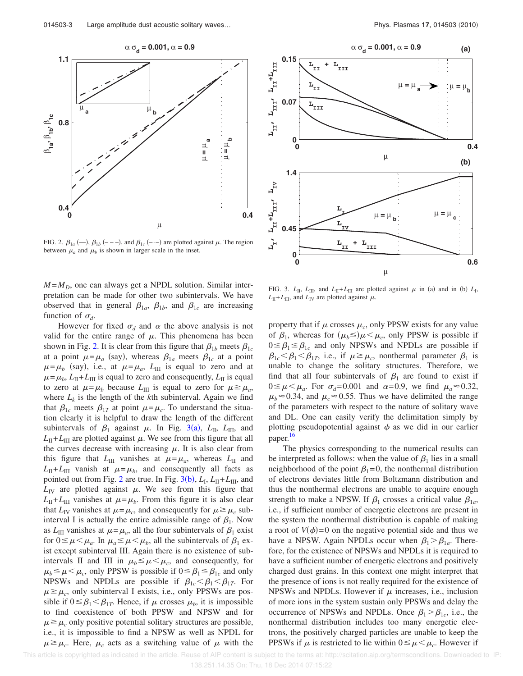

FIG. 2.  $\beta_{1a}$  (-),  $\beta_{1b}$  (---), and  $\beta_{1c}$  (---) are plotted against  $\mu$ . The region between  $\mu_a$  and  $\mu_b$  is shown in larger scale in the inset.

 $M = M_D$ , one can always get a NPDL solution. Similar interpretation can be made for other two subintervals. We have observed that in general  $\beta_{1a}$ ,  $\beta_{1b}$ , and  $\beta_{1c}$  are increasing function of  $\sigma_d$ .

However for fixed  $\sigma_d$  and  $\alpha$  the above analysis is not valid for the entire range of  $\mu$ . This phenomena has been shown in Fig. 2. It is clear from this figure that  $\beta_{1b}$  meets  $\beta_{1c}$ at a point  $\mu = \mu_a$  (say), whereas  $\beta_{1a}$  meets  $\beta_{1c}$  at a point  $\mu = \mu_b$  (say), i.e., at  $\mu = \mu_a$ ,  $L_{III}$  is equal to zero and at  $\mu = \mu_b$ ,  $L_{II} + L_{III}$  is equal to zero and consequently,  $L_{II}$  is equal to zero at  $\mu = \mu_b$  because  $L_{III}$  is equal to zero for  $\mu \ge \mu_a$ , where  $L_k$  is the length of the  $k$ th subinterval. Again we find that  $\beta_{1c}$  meets  $\beta_{1T}$  at point  $\mu = \mu_c$ . To understand the situation clearly it is helpful to draw the length of the different subintervals of  $\beta_1$  against  $\mu$ . In Fig. 3(a),  $L_{\text{II}}$ ,  $L_{\text{III}}$ , and  $L_{II} + L_{III}$  are plotted against  $\mu$ . We see from this figure that all the curves decrease with increasing  $\mu$ . It is also clear from this figure that  $L_{III}$  vanishes at  $\mu = \mu_a$ , whereas  $L_{II}$  and  $L_{\text{II}} + L_{\text{III}}$  vanish at  $\mu = \mu_b$ , and consequently all facts as pointed out from Fig. 2 are true. In Fig. 3(b),  $L_{\rm I}$ ,  $L_{\rm II}$ + $L_{\rm III}$ , and  $L_{\text{IV}}$  are plotted against  $\mu$ . We see from this figure that  $L_{\text{II}} + L_{\text{III}}$  vanishes at  $\mu = \mu_b$ . From this figure it is also clear that  $L_{\text{IV}}$  vanishes at  $\mu = \mu_c$ , and consequently for  $\mu \ge \mu_c$  subinterval I is actually the entire admissible range of  $\beta_1$ . Now as  $L_{III}$  vanishes at  $\mu = \mu_a$ , all the four subintervals of  $\beta_1$  exist for  $0 \le \mu \le \mu_a$ . In  $\mu_a \le \mu \le \mu_b$ , all the subintervals of  $\beta_1$  exist except subinterval III. Again there is no existence of subintervals II and III in  $\mu_b \leq \mu < \mu_c$ , and consequently, for  $\mu_b \le \mu < \mu_c$ , only PPSW is possible if  $0 \le \beta_1 \le \beta_{1c}$  and only NPSWs and NPDLs are possible if  $\beta_{1c} < \beta_1 < \beta_{1T}$ . For  $\mu \geq \mu_c$ , only subinterval I exists, i.e., only PPSWs are possible if  $0 \leq \beta_1 < \beta_{1T}$ . Hence, if  $\mu$  crosses  $\mu_b$ , it is impossible to find coexistence of both PPSW and NPSW and for  $\mu \geq \mu_c$  only positive potential solitary structures are possible, i.e., it is impossible to find a NPSW as well as NPDL for  $\mu \ge \mu_c$ . Here,  $\mu_c$  acts as a switching value of  $\mu$  with the



FIG. 3.  $L_{\text{II}}$ ,  $L_{\text{III}}$ , and  $L_{\text{II}} + L_{\text{III}}$  are plotted against  $\mu$  in (a) and in (b)  $L_{\text{I}}$ ,  $L_{\text{II}} + L_{\text{III}}$ , and  $L_{\text{IV}}$  are plotted against  $\mu$ .

property that if  $\mu$  crosses  $\mu_c$ , only PPSW exists for any value of  $\beta_1$ , whereas for  $(\mu_b \leq) \mu < \mu_c$ , only PPSW is possible if  $0 \leq \beta_1 \leq \beta_{1c}$  and only NPSWs and NPDLs are possible if  $\beta_{1c} < \beta_1 < \beta_{1T}$ , i.e., if  $\mu \ge \mu_c$ , nonthermal parameter  $\beta_1$  is unable to change the solitary structures. Therefore, we find that all four subintervals of  $\beta_1$  are found to exist if  $0 \leq \mu \leq \mu_a$ . For  $\sigma_d = 0.001$  and  $\alpha = 0.9$ , we find  $\mu_a \approx 0.32$ ,  $\mu_b \approx 0.34$ , and  $\mu_c \approx 0.55$ . Thus we have delimited the range of the parameters with respect to the nature of solitary wave and DL. One can easily verify the delimitation simply by plotting pseudopotential against  $\phi$  as we did in our earlier paper. 16

The physics corresponding to the numerical results can be interpreted as follows: when the value of  $\beta_1$  lies in a small neighborhood of the point  $\beta_1 = 0$ , the nonthermal distribution of electrons deviates little from Boltzmann distribution and thus the nonthermal electrons are unable to acquire enough strength to make a NPSW. If  $\beta_1$  crosses a critical value  $\beta_{1a}$ , i.e., if sufficient number of energetic electrons are present in the system the nonthermal distribution is capable of making a root of  $V(\phi)$ =0 on the negative potential side and thus we have a NPSW. Again NPDLs occur when  $\beta_1 > \beta_{1a}$ . Therefore, for the existence of NPSWs and NPDLs it is required to have a sufficient number of energetic electrons and positively charged dust grains. In this context one might interpret that the presence of ions is not really required for the existence of NPSWs and NPDLs. However if  $\mu$  increases, i.e., inclusion of more ions in the system sustain only PPSWs and delay the occurrence of NPSWs and NPDLs. Once  $\beta_1 > \beta_{1c}$ , i.e., the nonthermal distribution includes too many energetic electrons, the positively charged particles are unable to keep the PPSWs if  $\mu$  is restricted to lie within  $0 \le \mu \le \mu_c$ . However if